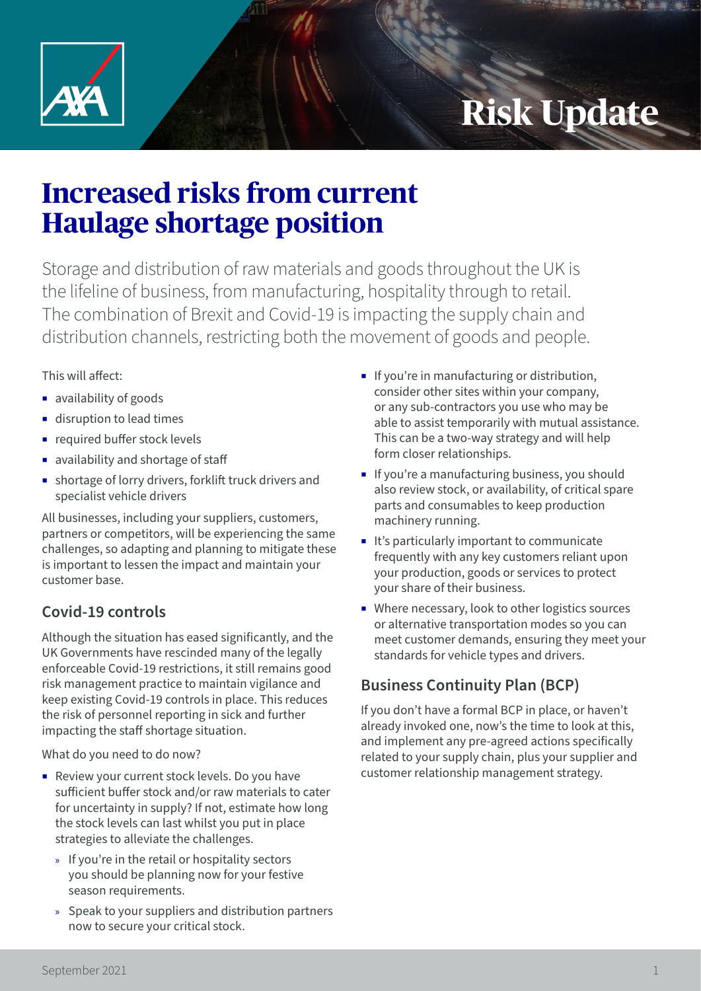

# **Risk Update**

## **Increased risks from current Haulage shortage position**

Storage and distribution of raw materials and goods throughout the UK is the lifeline of business, from manufacturing, hospitality through to retail. The combination of Brexit and Covid-19 is impacting the supply chain and distribution channels, restricting both the movement of goods and people.

This will affect:

- **u** availability of goods
- **·** disruption to lead times
- **Exercise Figure contract contracts**
- availability and shortage of staff
- ¡ shortage of lorry drivers, forklift truck drivers and specialist vehicle drivers

All businesses, including your suppliers, customers, partners or competitors, will be experiencing the same challenges, so adapting and planning to mitigate these is important to lessen the impact and maintain your customer base.

### **Covid-19 controls**

Although the situation has eased significantly, and the UK Governments have rescinded many of the legally enforceable Covid-19 restrictions, it still remains good risk management practice to maintain vigilance and keep existing Covid-19 controls in place. This reduces the risk of personnel reporting in sick and further impacting the staff shortage situation.

What do you need to do now?

- Review your current stock levels. Do you have sufficient buffer stock and/or raw materials to cater for uncertainty in supply? If not, estimate how long the stock levels can last whilst you put in place strategies to alleviate the challenges.
	- » If you're in the retail or hospitality sectors you should be planning now for your festive season requirements.
	- » Speak to your suppliers and distribution partners now to secure your critical stock.
- **If you're in manufacturing or distribution,** consider other sites within your company, or any sub-contractors you use who may be able to assist temporarily with mutual assistance. This can be a two-way strategy and will help form closer relationships.
- **If you're a manufacturing business, you should** also review stock, or availability, of critical spare parts and consumables to keep production machinery running.
- ¡ It's particularly important to communicate frequently with any key customers reliant upon your production, goods or services to protect your share of their business.
- Where necessary, look to other logistics sources or alternative transportation modes so you can meet customer demands, ensuring they meet your standards for vehicle types and drivers.

### **Business Continuity Plan (BCP)**

If you don't have a formal BCP in place, or haven't already invoked one, now's the time to look at this, and implement any pre-agreed actions specifically related to your supply chain, plus your supplier and customer relationship management strategy.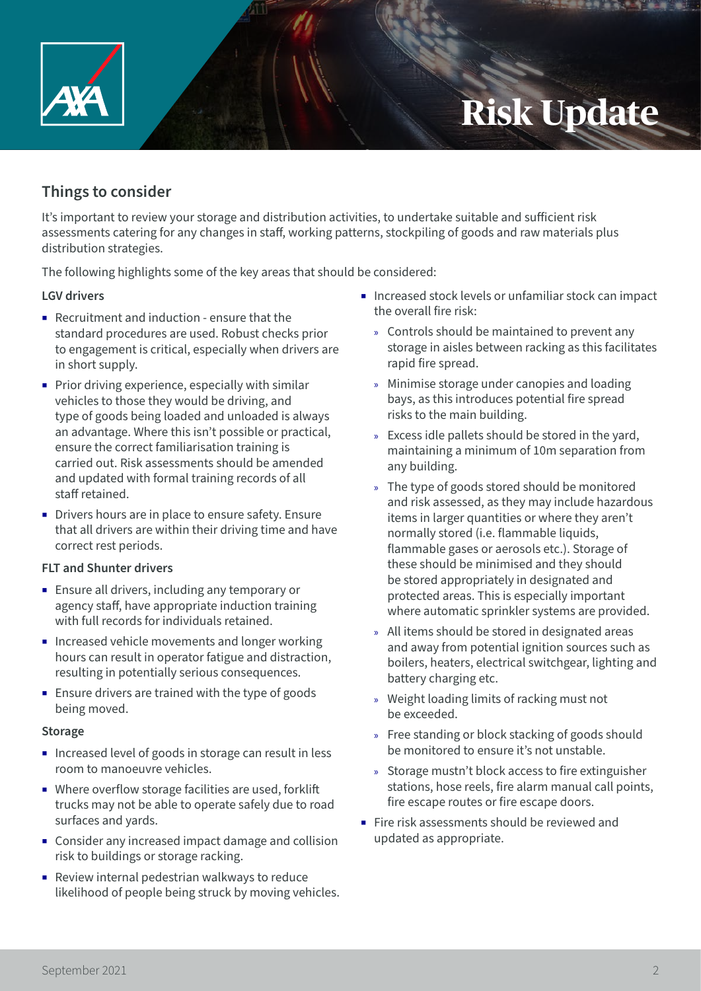

# **Risk Update**

### **Things to consider**

It's important to review your storage and distribution activities, to undertake suitable and sufficient risk assessments catering for any changes in staff, working patterns, stockpiling of goods and raw materials plus distribution strategies.

The following highlights some of the key areas that should be considered:

#### **LGV drivers**

- ¡ Recruitment and induction ensure that the standard procedures are used. Robust checks prior to engagement is critical, especially when drivers are in short supply.
- **Prior driving experience, especially with similar** vehicles to those they would be driving, and type of goods being loaded and unloaded is always an advantage. Where this isn't possible or practical, ensure the correct familiarisation training is carried out. Risk assessments should be amended and updated with formal training records of all staff retained.
- ¡ Drivers hours are in place to ensure safety. Ensure that all drivers are within their driving time and have correct rest periods.

#### **FLT and Shunter drivers**

- Ensure all drivers, including any temporary or agency staff, have appropriate induction training with full records for individuals retained.
- Increased vehicle movements and longer working hours can result in operator fatigue and distraction, resulting in potentially serious consequences.
- Ensure drivers are trained with the type of goods being moved.

#### **Storage**

- Increased level of goods in storage can result in less room to manoeuvre vehicles.
- Where overflow storage facilities are used, forklift trucks may not be able to operate safely due to road surfaces and yards.
- Consider any increased impact damage and collision risk to buildings or storage racking.
- Review internal pedestrian walkways to reduce likelihood of people being struck by moving vehicles.
- ¡ Increased stock levels or unfamiliar stock can impact the overall fire risk:
	- » Controls should be maintained to prevent any storage in aisles between racking as this facilitates rapid fire spread.
	- » Minimise storage under canopies and loading bays, as this introduces potential fire spread risks to the main building.
	- » Excess idle pallets should be stored in the yard, maintaining a minimum of 10m separation from any building.
	- » The type of goods stored should be monitored and risk assessed, as they may include hazardous items in larger quantities or where they aren't normally stored (i.e. flammable liquids, flammable gases or aerosols etc.). Storage of these should be minimised and they should be stored appropriately in designated and protected areas. This is especially important where automatic sprinkler systems are provided.
	- » All items should be stored in designated areas and away from potential ignition sources such as boilers, heaters, electrical switchgear, lighting and battery charging etc.
	- » Weight loading limits of racking must not be exceeded.
	- » Free standing or block stacking of goods should be monitored to ensure it's not unstable.
	- » Storage mustn't block access to fire extinguisher stations, hose reels, fire alarm manual call points, fire escape routes or fire escape doors.
- Fire risk assessments should be reviewed and updated as appropriate.